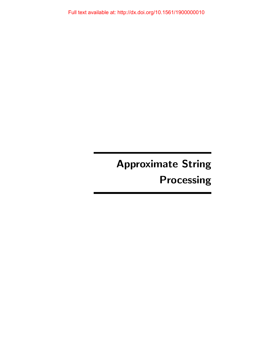# Approximate String Processing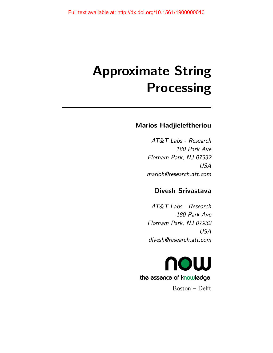# Approximate String Processing

# Marios Hadjieleftheriou

AT&T Labs - Research 180 Park Ave Florham Park, NJ 07932 USA marioh@research.att.com

# Divesh Srivastava

AT&T Labs - Research 180 Park Ave Florham Park, NJ 07932 USA divesh@research.att.com

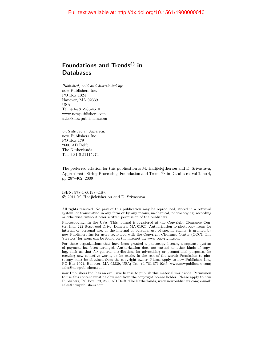# Foundations and Trends ${}^{\text{\textregistered}}$  in **Databases**

Published, sold and distributed by: now Publishers Inc. PO Box 1024 Hanover, MA 02339 USA Tel. +1-781-985-4510 www.nowpublishers.com sales@nowpublishers.com

Outside North America: now Publishers Inc. PO Box 179 2600 AD Delft The Netherlands Tel. +31-6-51115274

The preferred citation for this publication is M. Hadjieleftheriou and D. Srivastava, Approximate String Processing, Foundation and Trends<sup> $\circledR$ </sup> in Databases, vol 2, no 4, pp 267–402, 2009

ISBN: 978-1-60198-418-0 c 2011 M. Hadjieleftheriou and D. Srivastava

All rights reserved. No part of this publication may be reproduced, stored in a retrieval system, or transmitted in any form or by any means, mechanical, photocopying, recording or otherwise, without prior written permission of the publishers.

Photocopying. In the USA: This journal is registered at the Copyright Clearance Center, Inc., 222 Rosewood Drive, Danvers, MA 01923. Authorization to photocopy items for internal or personal use, or the internal or personal use of specific clients, is granted by now Publishers Inc for users registered with the Copyright Clearance Center (CCC). The 'services' for users can be found on the internet at: www.copyright.com

For those organizations that have been granted a photocopy license, a separate system of payment has been arranged. Authorization does not extend to other kinds of copying, such as that for general distribution, for advertising or promotional purposes, for creating new collective works, or for resale. In the rest of the world: Permission to photocopy must be obtained from the copyright owner. Please apply to now Publishers Inc., PO Box 1024, Hanover, MA 02339, USA; Tel. +1-781-871-0245; www.nowpublishers.com; sales@nowpublishers.com

now Publishers Inc. has an exclusive license to publish this material worldwide. Permission to use this content must be obtained from the copyright license holder. Please apply to now Publishers, PO Box 179, 2600 AD Delft, The Netherlands, www.nowpublishers.com; e-mail: sales@nowpublishers.com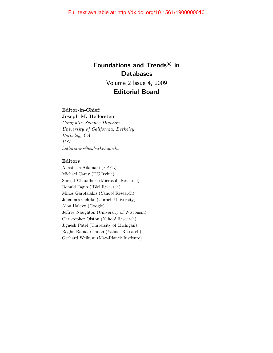# Foundations and Trends<sup>®</sup> in **Databases** Volume 2 Issue 4, 2009 Editorial Board

## Editor-in-Chief:

Joseph M. Hellerstein Computer Science Division University of California, Berkeley Berkeley, CA USA hellerstein@cs.berkeley.edu

## Editors

Anastasia Ailamaki (EPFL) Michael Carey (UC Irvine) Surajit Chaudhuri (Microsoft Research) Ronald Fagin (IBM Research) Minos Garofalakis (Yahoo! Research) Johannes Gehrke (Cornell University) Alon Halevy (Google) Jeffrey Naughton (University of Wisconsin) Christopher Olston (Yahoo! Research) Jignesh Patel (University of Michigan) Raghu Ramakrishnan (Yahoo! Research) Gerhard Weikum (Max-Planck Institute)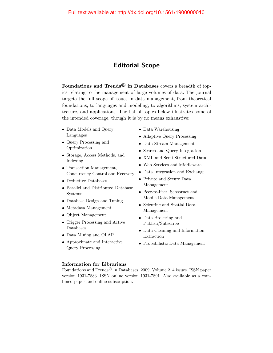# Editorial Scope

Foundations and Trends<sup>®</sup> in Databases covers a breadth of topics relating to the management of large volumes of data. The journal targets the full scope of issues in data management, from theoretical foundations, to languages and modeling, to algorithms, system architecture, and applications. The list of topics below illustrates some of the intended coverage, though it is by no means exhaustive:

- Data Models and Query Languages
- Query Processing and Optimization
- Storage, Access Methods, and Indexing
- Transaction Management, Concurrency Control and Recovery
- Deductive Databases
- Parallel and Distributed Database Systems
- Database Design and Tuning
- Metadata Management
- Object Management
- Trigger Processing and Active Databases
- Data Mining and OLAP
- Approximate and Interactive Query Processing
- Data Warehousing
- Adaptive Query Processing
- Data Stream Management
- Search and Query Integration
- XML and Semi-Structured Data
- Web Services and Middleware
- Data Integration and Exchange
- Private and Secure Data Management
- Peer-to-Peer, Sensornet and Mobile Data Management
- Scientific and Spatial Data Management
- Data Brokering and Publish/Subscribe
- Data Cleaning and Information Extraction
- Probabilistic Data Management

## Information for Librarians

Foundations and Trends<sup>®</sup> in Databases, 2009, Volume 2, 4 issues. ISSN paper version 1931-7883. ISSN online version 1931-7891. Also available as a combined paper and online subscription.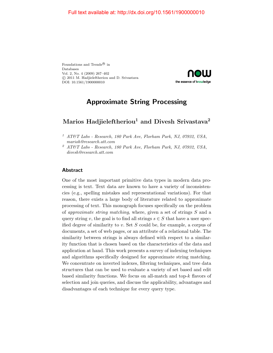Foundations and Trends<br> $^{\circledR}$  in Databases Vol. 2, No. 4 (2009) 267–402 c 2011 M. Hadjieleftheriou and D. Srivastava DOI: 10.1561/1900000010



# Approximate String Processing

# Marios Hadjieleftheriou<sup>1</sup> and Divesh Srivastava<sup>2</sup>

## Abstract

One of the most important primitive data types in modern data processing is text. Text data are known to have a variety of inconsistencies (e.g., spelling mistakes and representational variations). For that reason, there exists a large body of literature related to approximate processing of text. This monograph focuses specifically on the problem of approximate string matching, where, given a set of strings S and a query string v, the goal is to find all strings  $s \in S$  that have a user specified degree of similarity to v. Set S could be, for example, a corpus of documents, a set of web pages, or an attribute of a relational table. The similarity between strings is always defined with respect to a similarity function that is chosen based on the characteristics of the data and application at hand. This work presents a survey of indexing techniques and algorithms specifically designed for approximate string matching. We concentrate on inverted indexes, filtering techniques, and tree data structures that can be used to evaluate a variety of set based and edit based similarity functions. We focus on all-match and top- $k$  flavors of selection and join queries, and discuss the applicability, advantages and disadvantages of each technique for every query type.

<sup>1</sup> AT&T Labs - Research, 180 Park Ave, Florham Park, NJ, 07932, USA, marioh@research.att.com

 $2$  AT&T Labs - Research, 180 Park Ave, Florham Park, NJ, 07932, USA, divesh@research.att.com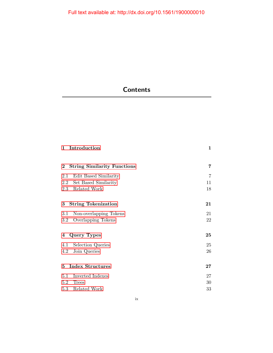# **Contents**

| Introduction<br>1                                  | $\mathbf{1}$   |
|----------------------------------------------------|----------------|
|                                                    |                |
| <b>String Similarity Functions</b><br>$\mathbf{2}$ | 7              |
| Edit Based Similarity<br>2.1                       | $\overline{7}$ |
| 2.2 Set Based Similarity                           | 11             |
| 2.3 Related Work                                   | 18             |
| <b>String Tokenization</b><br>3                    | 21             |
| Non-overlapping Tokens<br>3.1                      | 21             |
| Overlapping Tokens<br>$3.2\,$                      | 22             |
| 4 Query Types                                      | 25             |
| Selection Queries<br>4.1                           | 25             |
| Join Queries<br>4.2                                | 26             |
| <b>Index Structures</b><br>5                       | $\bf{27}$      |
| Inverted Indexes<br>5.1                            | 27             |
| 5.2<br>Trees                                       | 30             |
| 5.3<br>Related Work                                | 33             |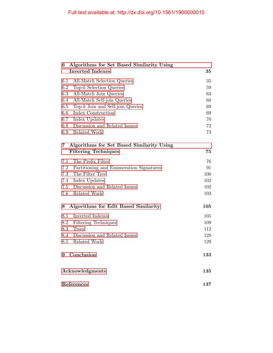| Algorithms for Set Based Similarity Using<br>6              |     |
|-------------------------------------------------------------|-----|
| <b>Inverted Indexes</b>                                     | 35  |
| 6.1<br>All-Match Selection Queries                          | 35  |
| 6.2<br>Top- $k$ Selection Queries                           | 59  |
| All-Match Join Queries<br>6.3                               | 63  |
| 6.4<br>All-Match Self-join Queries                          | 68  |
| $6.5\,$<br>Top- $k$ Join and Self-join Queries              | 69  |
| $6.6\,$<br>Index Construction                               | 69  |
| 6.7<br>Index Updates                                        | 70  |
| 6.8<br>Discussion and Related Issues                        | 72  |
| Related Work<br>6.9                                         | 73  |
| $\overline{7}$<br>Algorithms for Set Based Similarity Using |     |
| <b>Filtering Techniques</b>                                 | 75  |
| The Prefix Filter<br>7.1                                    | 76  |
| 7.2<br>Partitioning and Enumeration Signatures              | 91  |
| The Filter Tree<br>7.3                                      | 100 |
| Index Updates<br>7.4                                        | 102 |
| Discussion and Related Issues<br>7.5                        | 102 |
| Related Work<br>7.6                                         | 103 |
| <b>Algorithms for Edit Based Similarity</b><br>8            | 105 |
| Inverted Indexes<br>8.1                                     | 105 |
| 8.2<br>Filtering Techniques                                 | 109 |
| 8.3<br><b>Trees</b>                                         | 112 |
| Discussion and Related Issues<br>8.4                        | 128 |
| Related Work<br>8.5                                         | 129 |
| Conclusion<br>9                                             | 133 |
| Acknowledgments                                             | 135 |
| References                                                  | 137 |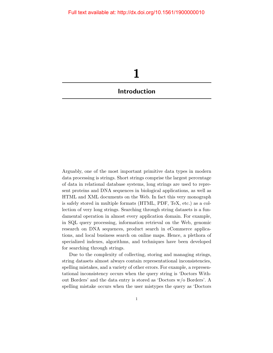<span id="page-8-0"></span>

Arguably, one of the most important primitive data types in modern data processing is strings. Short strings comprise the largest percentage of data in relational database systems, long strings are used to represent proteins and DNA sequences in biological applications, as well as HTML and XML documents on the Web. In fact this very monograph is safely stored in multiple formats (HTML, PDF, TeX, etc.) as a collection of very long strings. Searching through string datasets is a fundamental operation in almost every application domain. For example, in SQL query processing, information retrieval on the Web, genomic research on DNA sequences, product search in eCommerce applications, and local business search on online maps. Hence, a plethora of specialized indexes, algorithms, and techniques have been developed for searching through strings.

Due to the complexity of collecting, storing and managing strings, string datasets almost always contain representational inconsistencies, spelling mistakes, and a variety of other errors. For example, a representational inconsistency occurs when the query string is 'Doctors Without Borders' and the data entry is stored as 'Doctors w/o Borders'. A spelling mistake occurs when the user mistypes the query as 'Doctors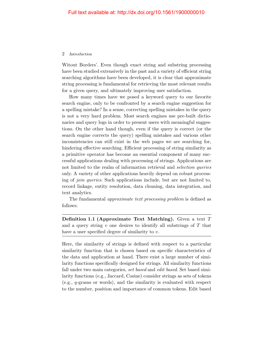### 2 Introduction

Witout Borders'. Even though exact string and substring processing have been studied extensively in the past and a variety of efficient string searching algorithms have been developed, it is clear that approximate string processing is fundamental for retrieving the most relevant results for a given query, and ultimately improving user satisfaction.

How many times have we posed a keyword query to our favorite search engine, only to be confronted by a search engine suggestion for a spelling mistake? In a sense, correcting spelling mistakes in the query is not a very hard problem. Most search engines use pre-built dictionaries and query logs in order to present users with meaningful suggestions. On the other hand though, even if the query is correct (or the search engine corrects the query) spelling mistakes and various other inconsistencies can still exist in the web pages we are searching for, hindering effective searching. Efficient processing of string similarity as a primitive operator has become an essential component of many successful applications dealing with processing of strings. Applications are not limited to the realm of information retrieval and selection queries only. A variety of other applications heavily depend on robust processing of join queries. Such applications include, but are not limited to, record linkage, entity resolution, data cleaning, data integration, and text analytics.

The fundamental approximate text processing problem is defined as follows:

**Definition 1.1 (Approximate Text Matching).** Given a text  $T$ and a query string  $v$  one desires to identify all substrings of  $T$  that have a user specified degree of similarity to v.

Here, the similarity of strings is defined with respect to a particular similarity function that is chosen based on specific characteristics of the data and application at hand. There exist a large number of similarity functions specifically designed for strings. All similarity functions fall under two main categories, set based and edit based. Set based similarity functions (e.g., Jaccard, Cosine) consider strings as sets of tokens (e.g., q-grams or words), and the similarity is evaluated with respect to the number, position and importance of common tokens. Edit based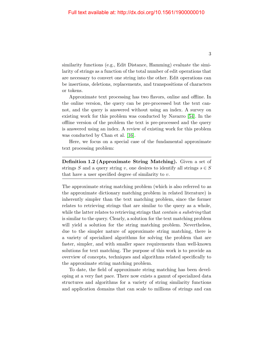similarity functions (e.g., Edit Distance, Hamming) evaluate the similarity of strings as a function of the total number of edit operations that are necessary to convert one string into the other. Edit operations can be insertions, deletions, replacements, and transpositions of characters or tokens.

Approximate text processing has two flavors, online and offline. In the online version, the query can be pre-processed but the text cannot, and the query is answered without using an index. A survey on existing work for this problem was conducted by Navarro [\[54\]](#page-17-0). In the offline version of the problem the text is pre-processed and the query is answered using an index. A review of existing work for this problem was conducted by Chan et al. [\[16\]](#page-15-0).

Here, we focus on a special case of the fundamental approximate text processing problem:

Definition 1.2 (Approximate String Matching). Given a set of strings S and a query string v, one desires to identify all strings  $s \in S$ that have a user specified degree of similarity to  $v$ .

The approximate string matching problem (which is also referred to as the approximate dictionary matching problem in related literature) is inherently simpler than the text matching problem, since the former relates to retrieving strings that are similar to the query as a whole, while the latter relates to retrieving strings that *contain a substring* that is similar to the query. Clearly, a solution for the text matching problem will yield a solution for the string matching problem. Nevertheless, due to the simpler nature of approximate string matching, there is a variety of specialized algorithms for solving the problem that are faster, simpler, and with smaller space requirements than well-known solutions for text matching. The purpose of this work is to provide an overview of concepts, techniques and algorithms related specifically to the approximate string matching problem.

To date, the field of approximate string matching has been developing at a very fast pace. There now exists a gamut of specialized data structures and algorithms for a variety of string similarity functions and application domains that can scale to millions of strings and can

3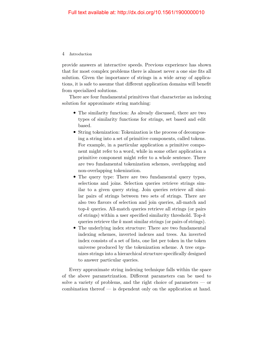### 4 Introduction

provide answers at interactive speeds. Previous experience has shown that for most complex problems there is almost never a one size fits all solution. Given the importance of strings in a wide array of applications, it is safe to assume that different application domains will benefit from specialized solutions.

There are four fundamental primitives that characterize an indexing solution for approximate string matching:

- The similarity function: As already discussed, there are two types of similarity functions for strings, set based and edit based.
- String tokenization: Tokenization is the process of decomposing a string into a set of primitive components, called tokens. For example, in a particular application a primitive component might refer to a word, while in some other application a primitive component might refer to a whole sentence. There are two fundamental tokenization schemes, overlapping and non-overlapping tokenization.
- The query type: There are two fundamental query types, selections and joins. Selection queries retrieve strings similar to a given query string. Join queries retrieve all similar pairs of strings between two sets of strings. There are also two flavors of selection and join queries, all-match and top-k queries. All-match queries retrieve all strings (or pairs of strings) within a user specified similarity threshold. Top- $k$ queries retrieve the  $k$  most similar strings (or pairs of strings).
- The underlying index structure: There are two fundamental indexing schemes, inverted indexes and trees. An inverted index consists of a set of lists, one list per token in the token universe produced by the tokenization scheme. A tree organizes strings into a hierarchical structure specifically designed to answer particular queries.

Every approximate string indexing technique falls within the space of the above parametrization. Different parameters can be used to solve a variety of problems, and the right choice of parameters — or combination thereof — is dependent only on the application at hand.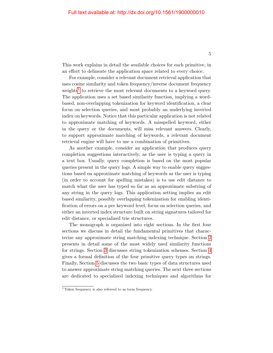This work explains in detail the available choices for each primitive, in an effort to delineate the application space related to every choice.

For example, consider a relevant document retrieval application that uses cosine similarity and token frequency/inverse document frequency weights<sup>[1](#page-12-0)</sup> to retrieve the most relevant documents to a keyword query. The application uses a set based similarity function, implying a wordbased, non-overlapping tokenization for keyword identification, a clear focus on selection queries, and most probably an underlying inverted index on keywords. Notice that this particular application is not related to approximate matching of keywords. A misspelled keyword, either in the query or the documents, will miss relevant answers. Clearly, to support approximate matching of keywords, a relevant document retrieval engine will have to use a combination of primitives.

As another example, consider an application that produces query completion suggestions interactively, as the user is typing a query in a text box. Usually, query completion is based on the most popular queries present in the query logs. A simple way to enable query suggestions based on approximate matching of keywords as the user is typing (in order to account for spelling mistakes) is to use edit distance to match what the user has typed so far as an approximate substring of any string in the query logs. This application setting implies an edit based similarity, possibly overlapping tokenization for enabling identification of errors on a per keyword level, focus on selection queries, and either an inverted index structure built on string signatures tailored for edit distance, or specialized trie structures.

The monograph is organized into eight sections. In the first four sections we discuss in detail the fundamental primitives that characterize any approximate string matching indexing technique. Section [2](#page--1-0) presents in detail some of the most widely used similarity functions for strings. Section [3](#page--1-0) discusses string tokenization schemes. Section [4](#page--1-0) gives a formal definition of the four primitive query types on strings. Finally, Section [5](#page--1-0) discusses the two basic types of data structures used to answer approximate string matching queries. The next three sections are dedicated to specialized indexing techniques and algorithms for

5

<span id="page-12-0"></span> $\overline{1}$ Token frequency is also referred to as term frequency.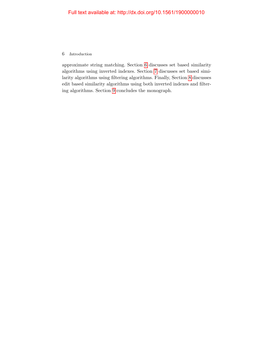## 6 Introduction

approximate string matching. Section [6](#page--1-0) discusses set based similarity algorithms using inverted indexes. Section [7](#page--1-0) discusses set based similarity algorithms using filtering algorithms. Finally, Section [8](#page--1-0) discusses edit based similarity algorithms using both inverted indexes and filtering algorithms. Section [9](#page--1-0) concludes the monograph.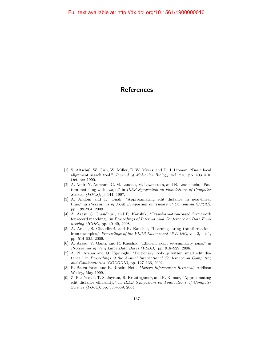- <span id="page-14-0"></span>[1] S. Altschul, W. Gish, W. Miller, E. W. Myers, and D. J. Lipman, "Basic local alignment search tool," Journal of Molecular Biology, vol. 215, pp. 403–410, October 1990.
- [2] A. Amir, Y. Aumann, G. M. Landau, M. Lewenstein, and N. Lewenstein, "Pattern matching with swaps," in IEEE Symposium on Foundations of Computer Science (FOCS), p. 144, 1997.
- [3] A. Andoni and K. Onak, "Approximating edit distance in near-linear time," in Proceedings of ACM Symposium on Theory of Computing (STOC), pp. 199–204, 2009.
- [4] A. Arasu, S. Chaudhuri, and R. Kaushik, "Transformation-based framework for record matching," in Proceedings of International Conference on Data Engineering (ICDE), pp. 40–49, 2008.
- [5] A. Arasu, S. Chaudhuri, and R. Kaushik, "Learning string transformations from examples," Proceedings of the VLDB Endowment (PVLDB), vol. 2, no. 1, pp. 514–525, 2009.
- [6] A. Arasu, V. Ganti, and R. Kaushik, "Efficient exact set-similarity joins," in Proceedings of Very Large Data Bases (VLDB), pp. 918–929, 2006.
- [7] A. N. Arslan and Ö. Eğecioğlu, "Dictionary look-up within small edit distance," in Proceedings of the Annual International Conference on Computing and Combinatorics (COCOON), pp. 127–136, 2002.
- [8] R. Baeza-Yates and B. Ribeiro-Neto, Modern Information Retrieval. Addison Wesley, May 1999.
- [9] Z. Bar-Yossef, T. S. Jayram, R. Krauthgamer, and R. Kumar, "Approximating edit distance efficiently," in IEEE Symposium on Foundations of Computer Science (FOCS), pp. 550–559, 2004.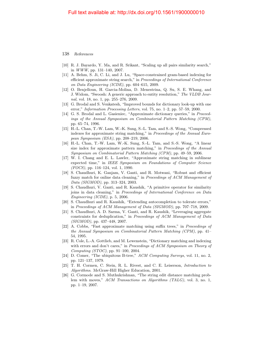- [10] R. J. Bayardo, Y. Ma, and R. Srikant, "Scaling up all pairs similarity search," in WWW, pp. 131–140, 2007.
- [11] A. Behm, S. Ji, C. Li, and J. Lu, "Space-constrained gram-based indexing for efficient approximate string search," in Proceedings of International Conference on Data Engineering (ICDE), pp. 604–615, 2009.
- [12] O. Benjelloun, H. Garcia-Molina, D. Menestrina, Q. Su, S. E. Whang, and J. Widom, "Swoosh: A generic approach to entity resolution," The VLDB Journal, vol. 18, no. 1, pp. 255–276, 2009.
- [13] G. Brodal and S. Venkatesh, "Improved bounds for dictionary look-up with one error," Information Processing Letters, vol. 75, no. 1–2, pp. 57–59, 2000.
- [14] G. S. Brodal and L. Gasieniec, "Approximate dictionary queries," in Proceedings of the Annual Symposium on Combinatorial Pattern Matching (CPM), pp. 65–74, 1996.
- [15] H.-L. Chan, T.-W. Lam, W.-K. Sung, S.-L. Tam, and S.-S. Wong, "Compressed indexes for approximate string matching," in Proceedings of the Annual European Symposium (ESA), pp. 208–219, 2006.
- <span id="page-15-0"></span>[16] H.-L. Chan, T.-W. Lam, W.-K. Sung, S.-L. Tam, and S.-S. Wong, "A linear size index for approximate pattern matching," in *Proceedings of the Annual* Symposium on Combinatorial Pattern Matching (CPM), pp. 49–59, 2006.
- [17] W. I. Chang and E. L. Lawler, "Approximate string matching in sublinear expected time," in IEEE Symposium on Foundations of Computer Science (FOCS), pp. 116–124, vol. 1, 1990.
- [18] S. Chaudhuri, K. Ganjam, V. Ganti, and R. Motwani, "Robust and efficient fuzzy match for online data cleaning," in *Proceedings of ACM Management of* Data (SIGMOD), pp. 313–324, 2003.
- [19] S. Chaudhuri, V. Ganti, and R. Kaushik, "A primitive operator for similarity joins in data cleaning," in Proceedings of International Conference on Data Engineering (ICDE), p. 5, 2006.
- [20] S. Chaudhuri and R. Kaushik, "Extending autocompletion to tolerate errors," in Proceedings of ACM Management of Data (SIGMOD), pp. 707–718, 2009.
- [21] S. Chaudhuri, A. D. Sarma, V. Ganti, and R. Kaushik, "Leveraging aggregate constraints for deduplication," in Proceedings of ACM Management of Data (SIGMOD), pp. 437–448, 2007.
- [22] A. Cobbs, "Fast approximate matching using suffix trees," in Proceedings of the Annual Symposium on Combinatorial Pattern Matching (CPM), pp. 41– 54, 1995.
- [23] R. Cole, L.-A. Gottlieb, and M. Lewenstein, "Dictionary matching and indexing with errors and don't cares," in Proceedings of ACM Symposium on Theory of Computing (STOC), pp. 91–100, 2004.
- [24] D. Comer, "The ubiquitous B-tree," ACM Computing Surveys, vol. 11, no. 2, pp. 121–137, 1979.
- [25] T. H. Cormen, C. Stein, R. L. Rivest, and C. E. Leiserson, Introduction to Algorithms. McGraw-Hill Higher Education, 2001.
- [26] G. Cormode and S. Muthukrishnan, "The string edit distance matching problem with moves," ACM Transactions on Algorithms (TALG), vol. 3, no. 1, pp. 1–19, 2007.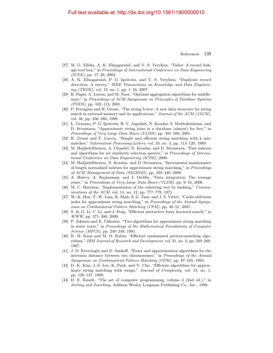- [27] M. G. Elfeky, A. K. Elmagarmid, and V. S. Verykios, "Tailor: A record linkage tool box," in Proceedings of International Conference on Data Engineering  $(ICDE)$ , pp. 17–28, 2002.
- [28] A. K. Elmagarmid, P. G. Ipeirotis, and V. S. Verykios, "Duplicate record detection: A survey," IEEE Transactions on Knowledge and Data Engineer $ing (TKDE)$ , vol. 19, no. 1, pp. 1–16, 2007.
- [29] R. Fagin, A. Lotem, and M. Naor, "Optimal aggregation algorithms for middleware," in Proceedings of ACM Symposium on Principles of Database Systems  $(PODS)$ , pp. 102–113, 2001.
- [30] P. Ferragina and R. Grossi, "The string b-tree: A new data structure for string search in external memory and its applications," Journal of the ACM (JACM), vol. 46, pp. 236–280, 1999.
- [31] L. Gravano, P. G. Ipeirotis, H. V. Jagadish, N. Koudas, S. Muthukrishnan, and D. Srivastava, "Approximate string joins in a database (almost) for free," in Proceedings of Very Large Data Bases (VLDB), pp. 491–500, 2001.
- [32] R. Grossi and F. Luccio, "Simple and efficient string matching with k mismatches," Information Processing Letters, vol. 33, no. 3, pp. 113–120, 1989.
- [33] M. Hadjieleftheriou, A. Chandel, N. Koudas, and D. Srivastava, "Fast indexes and algorithms for set similarity selection queries," in Proceedings of International Conference on Data Engineering (ICDE), 2008.
- [34] M. Hadjieleftheriou, N. Koudas, and D. Srivastava, "Incremental maintenance of length normalized indexes for approximate string matching," in Proceedings of ACM Management of Data (SIGMOD), pp. 429–440, 2009.
- [35] A. Halevy, A. Rajaraman, and J. Ordille, "Data integration: The teenage years," in Proceedings of Very Large Data Bases (VLDB), pp. 9–16, 2006.
- [36] M. C. Harrison, "Implementation of the substring test by hashing," Communications of the ACM, vol. 14, no. 12, pp. 777–779, 1971.
- [37] W.-K. Hon, T.-W. Lam, R. Shah, S.-L. Tam, and J. S. Vitter, "Cache-oblivious index for approximate string matching," in Proceedings of the Annual Symposium on Combinatorial Pattern Matching (CPM), pp. 40–51, 2007.
- [38] S. Ji, G. Li, C. Li, and J. Feng, "Efficient interactive fuzzy keyword search," in WWW, pp. 371–380, 2009.
- [39] P. Jokinen and E. Ukkonen, "Two algorithms for approximate string matching in static texts," in Proceedings of the Mathematical Foundations of Computer Science (MFCS), pp. 240–248, 1991.
- [40] R. M. Karp and M. O. Rabin, "Efficient randomized pattern-matching algorithms," IBM Journal of Research and Development, vol. 31, no. 2, pp. 249–260, 1987.
- [41] J. D. Kececioglu and D. Sankoff, "Exact and approximation algorithms for the inversion distance between two chromosomes," in Proceedings of the Annual Symposium on Combinatorial Pattern Matching (CPM), pp. 87–105, 1993.
- [42] D. K. Kim, J.-S. Lee, K. Park, and Y. Cho, "Efficient algorithms for approximate string matching with swaps," *Journal of Complexity*, vol. 15, no. 1, pp. 128–147, 1999.
- [43] D. E. Knuth, "The art of computer programming, volume 3 (2nd ed.)," in Sorting and Searching, Addison Wesley Longman Publishing Co., Inc., 1998.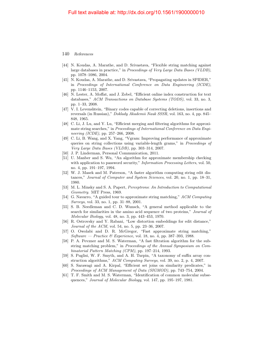- [44] N. Koudas, A. Marathe, and D. Srivastava, "Flexible string matching against large databases in practice," in Proceedings of Very Large Data Bases (VLDB), pp. 1078–1086, 2004.
- [45] N. Koudas, A. Marathe, and D. Srivastava, "Propagating updates in SPIDER," in Proceedings of International Conference on Data Engineering (ICDE), pp. 1146–1153, 2007.
- [46] N. Lester, A. Moffat, and J. Zobel, "Efficient online index construction for text databases," ACM Transactions on Database Systems (TODS), vol. 33, no. 3, pp. 1–33, 2008.
- [47] V. I. Levenshtein, "Binary codes capable of correcting deletions, insertions and reversals (in Russian)," Doklady Akademii Nauk SSSR, vol. 163, no. 4, pp. 845– 848, 1965.
- [48] C. Li, J. Lu, and Y. Lu, "Efficient merging and filtering algorithms for approximate string searches," in Proceedings of International Conference on Data Engineering (ICDE), pp. 257–266, 2008.
- [49] C. Li, B. Wang, and X. Yang, "Vgram: Improving performance of approximate queries on string collections using variable-length grams," in *Proceedings of* Very Large Data Bases (VLDB), pp. 303–314, 2007.
- [50] J. P. Linderman, Personal Communication, 2011.
- [51] U. Manber and S. Wu, "An algorithm for approximate membership checking with application to password security," *Information Processing Letters*, vol. 50, no. 4, pp. 191–197, 1994.
- [52] W. J. Masek and M. Paterson, "A faster algorithm computing string edit distances," Journal of Computer and System Sciences, vol. 20, no. 1, pp. 18–31, 1980.
- [53] M. L. Minsky and S. A. Papert, Perceptrons: An Introduction to Computational Geometry. MIT Press, 1969.
- <span id="page-17-0"></span>[54] G. Navarro, "A guided tour to approximate string matching," ACM Computing Surveys, vol. 33, no. 1, pp. 31–88, 2001.
- [55] S. B. Needleman and C. D. Wunsch, "A general method applicable to the search for similarities in the amino acid sequence of two proteins," *Journal of* Molecular Biology, vol. 48, no. 3, pp. 443–453, 1970.
- [56] R. Ostrovsky and Y. Rabani, "Low distortion embeddings for edit distance," Journal of the ACM, vol. 54, no. 5, pp. 23–36, 2007.
- [57] O. Owolabi and D. R. McGregor, "Fast approximate string matching," Software — Practice & Experience, vol. 18, no. 4, pp. 387–393, 1988.
- [58] P. A. Pevzner and M. S. Waterman, "A fast filtration algorithm for the substring matching problem," in Proceedings of the Annual Symposium on Combinatorial Pattern Matching (CPM), pp. 197–214, 1993.
- [59] S. Puglisi, W. F. Smyth, and A. H. Turpin, "A taxonomy of suffix array construction algorithms," ACM Computing Surveys, vol. 39, no. 2, p. 4, 2007.
- [60] S. Sarawagi and A. Kirpal, "Efficient set joins on similarity predicates," in Proceedings of ACM Management of Data (SIGMOD), pp. 743–754, 2004.
- [61] T. F. Smith and M. S. Waterman, "Identification of common molecular subsequences," *Journal of Molecular Biology*, vol. 147, pp. 195–197, 1981.